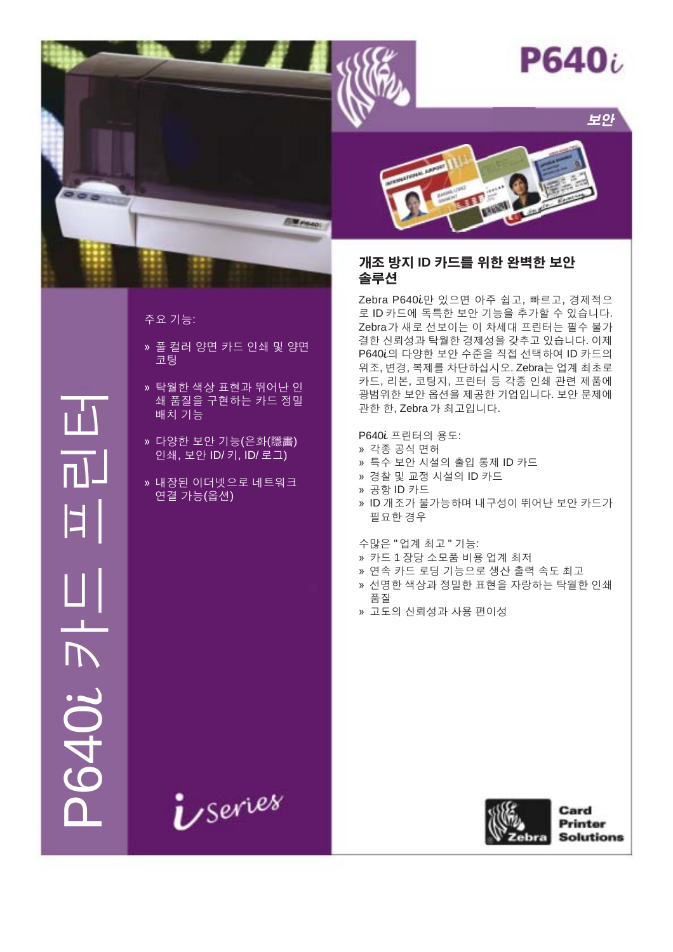

보안



# 주요 기능:

- » 풀 컬러 양면 카드 인쇄 및 양면 코팅
- » 탁월한 색상 표현과 뛰어난 인 쇄 품질을 구현하는 카드 정밀 배치 기능
- » 다양한 보안 기능(은화(隱畵) 인쇄, 보안 ID/키, ID/로그)
- » 내장된 이더넷으로 네트워크 연결 가능(옵션)

*U* Series



# 개조 방지 ID 카드를 위한 완벽한 보안 솔루션

Zebra P640i만 있으면 아주 쉽고, 빠르고, 경제적으 로 ID 카드에 독특한 보안 기능을 추가할 수 있습니다. Zebra가 새로 선보이는 이 차세대 프린터는 필수 불가 결한 신뢰성과 탁월한 경제성을 갖추고 있습니다. 이제 P640i의 다양한 보안 수준을 직접 선택하여 ID 카드의 위조, 변경, 복제를 차단하십시오. Zebra는 업계 최초로 카드, 리본, 코팅지, 프린터 등 각종 인쇄 관련 제품에 광범위한 보안 옵션을 제공한 기업입니다. 보안 문제에 관한 한, Zebra 가 최고입니다.

P640i 프린터의 용도:

- » 각종 공식 면허
- » 특수 보안 시설의 출입 통제 ID 카드
- » 경찰 및 교정 시설의 ID 카드
- » 공항 ID 카드
- » ID 개조가 불가능하며 내구성이 뛰어난 보안 카드가 필요한 경우

수많은 "업계 최고 " 기능:

- » 카드 1 장당 소모품 비용 업계 최저
- » 연속 카드 로딩 기능으로 생산 출력 속도 최고
- » 선명한 색상과 정밀한 표현을 자랑하는 탁월한 인쇄 품질
- » 고도의 신뢰성과 사용 편이성





Card **Printer Solutions**